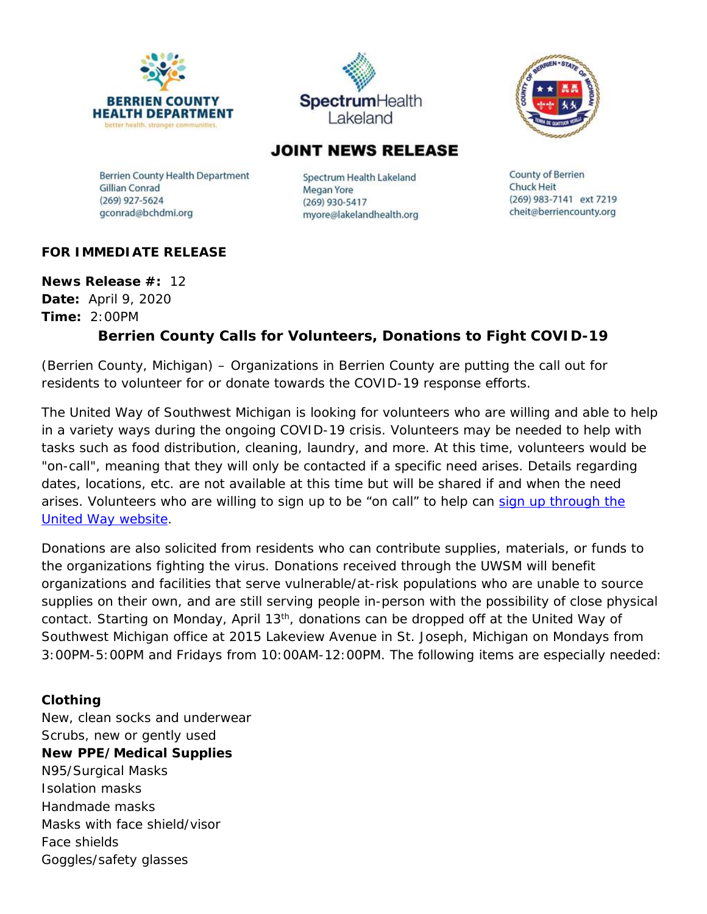





## **JOINT NEWS RELEASE**

**Berrien County Health Department** Gillian Conrad  $(269)$  927-5624 gconrad@bchdmi.org

Spectrum Health Lakeland Megan Yore (269) 930-5417 myore@lakelandhealth.org County of Berrien **Chuck Heit** (269) 983-7141 ext 7219 cheit@berriencounty.org

## **FOR IMMEDIATE RELEASE**

**News Release #:** 12 **Date:** April 9, 2020 **Time:** 2:00PM

## **Berrien County Calls for Volunteers, Donations to Fight COVID-19**

(Berrien County, Michigan) – Organizations in Berrien County are putting the call out for residents to volunteer for or donate towards the COVID-19 response efforts.

The United Way of Southwest Michigan is looking for volunteers who are willing and able to help in a variety ways during the ongoing COVID-19 crisis. Volunteers may be needed to help with tasks such as food distribution, cleaning, laundry, and more. At this time, volunteers would be "on-call", meaning that they will only be contacted if a specific need arises. Details regarding dates, locations, etc. are not available at this time but will be shared if and when the need arises. Volunteers who are willing to sign up to be "on call" to help can sign up through the [United Way website.](http://uwsm.galaxydigital.com/need/detail/?need_id=512329)

Donations are also solicited from residents who can contribute supplies, materials, or funds to the organizations fighting the virus. Donations received through the UWSM will benefit organizations and facilities that serve vulnerable/at-risk populations who are unable to source supplies on their own, and are still serving people in-person with the possibility of close physical contact. Starting on Monday, April 13<sup>th</sup>, donations can be dropped off at the United Way of Southwest Michigan office at 2015 Lakeview Avenue in St. Joseph, Michigan on Mondays from 3:00PM-5:00PM and Fridays from 10:00AM-12:00PM. The following items are especially needed:

## **Clothing**

New, clean socks and underwear Scrubs, new or gently used **New PPE/Medical Supplies** N95/Surgical Masks Isolation masks Handmade masks Masks with face shield/visor Face shields Goggles/safety glasses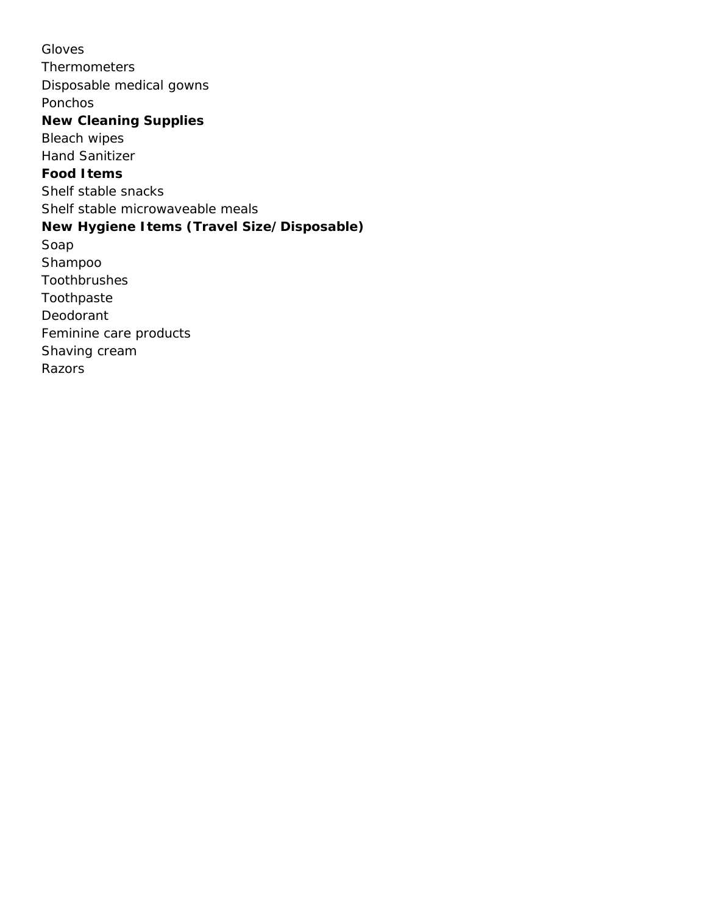Gloves Thermometers Disposable medical gowns Ponchos **New Cleaning Supplies** Bleach wipes Hand Sanitizer **Food Items** Shelf stable snacks Shelf stable microwaveable meals **New Hygiene Items (Travel Size/Disposable)** Soap Shampoo Toothbrushes Toothpaste Deodorant Feminine care products Shaving cream Razors